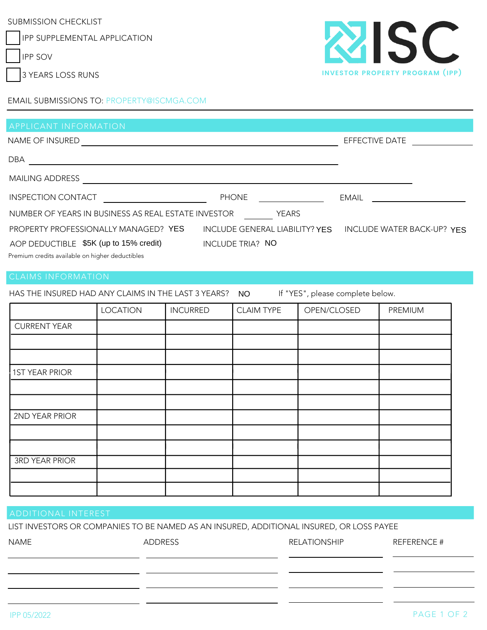SUBMISSION CHECKLIST

IPP SUPPLEMENTAL APPLICATION

IPP SOV

3 YEARS LOSS RUNS



EFFECTIVE DATE

| <b>EMAIL SUBMISSIONS TO: PROPERTY@ISCMGA.COM</b> |  |
|--------------------------------------------------|--|
|--------------------------------------------------|--|

DBA

MAILING ADDRESS **And Construction Construction Construction Construction Construction Construction Construction** 

INSPECTION CONTACT

NUMBER OF YEARS IN BUSINESS AS REAL ESTATE INVESTOR YEARS

PROPERTY PROFESSIONALLY MANAGED? YES INCLUDE GENERAL LIABILITY? YES INCLUDE WATER BACK-UP? YES

INCLUDE TRIA? \$5K (up to 15% credit) NO AOP DEDUCTIBLE \$5K (up to 15% credit)

Premium credits available on higher deductibles

HAS THE INSURED HAD ANY CLAIMS IN THE LAST 3 YEARS? NO If "YES", please complete below. NO

PHONE EMAIL

|                       | <b>LOCATION</b> | <b>INCURRED</b> | <b>CLAIM TYPE</b> | OPEN/CLOSED | PREMIUM |
|-----------------------|-----------------|-----------------|-------------------|-------------|---------|
| <b>CURRENT YEAR</b>   |                 |                 |                   |             |         |
|                       |                 |                 |                   |             |         |
|                       |                 |                 |                   |             |         |
| <b>1ST YEAR PRIOR</b> |                 |                 |                   |             |         |
|                       |                 |                 |                   |             |         |
|                       |                 |                 |                   |             |         |
| 2ND YEAR PRIOR        |                 |                 |                   |             |         |
|                       |                 |                 |                   |             |         |
|                       |                 |                 |                   |             |         |
| <b>3RD YEAR PRIOR</b> |                 |                 |                   |             |         |
|                       |                 |                 |                   |             |         |
|                       |                 |                 |                   |             |         |

## ADDITIONAL INTEREST

LIST INVESTORS OR COMPANIES TO BE NAMED AS AN INSURED, ADDITIONAL INSURED, OR LOSS PAYEE

| <b>NAME</b> | ADDRESS | <b>RELATIONSHIP</b> | <b>REFERENCE #</b> |
|-------------|---------|---------------------|--------------------|
|             |         |                     |                    |
|             |         |                     |                    |
|             |         |                     |                    |